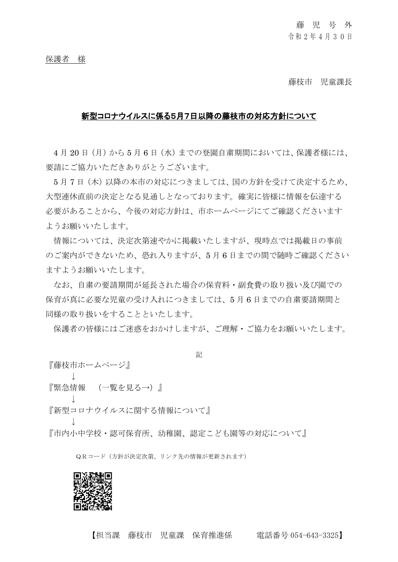藤枝市 児童課長

## 新型コロナウイルスに係る5月7日以降の藤枝市の対応方針について

4月20日(月)から5月6日(水)までの登園自粛期間においては、保護者様には、 要請にご協力いただきありがとうございます。

5月7日(木)以降の本市の対応につきましては、国の方針を受けて決定するため、 大型連休直前の決定となる見通しとなっております。確実に皆様に情報を伝達する 必要があることから、今後の対応方針は、市ホームページにてご確認くださいます ようお願いいたします。

情報については、決定次第速やかに掲載いたしますが、現時点では掲載日の事前 のご案内ができないため、恐れ入りますが、5 月 6 日までの間で随時ご確認ください ますようお願いいたします。

なお、自粛の要請期間が延長された場合の保育料・副食費の取り扱い及び園での 保育が真に必要な児童の受け入れにつきましては、5 月 6 日までの自粛要請期間と 同様の取り扱いをすることといたします。

保護者の皆様にはご迷惑をおかけしますが、ご理解・ご協力をお願いいたします。

記

『藤枝市ホームページ』 ↓ 『緊急情報 (一覧を見る→)』 ↓ 『新型コロナウイルスに関する情報について』 ↓ 『市内小中学校・認可保育所、幼稚園、認定こども園等の対応について』

QRコード(方針が決定次第、リンク先の情報が更新されます)



【担当課 藤枝市 児童課 保育推進係 電話番号 054-643-3325】